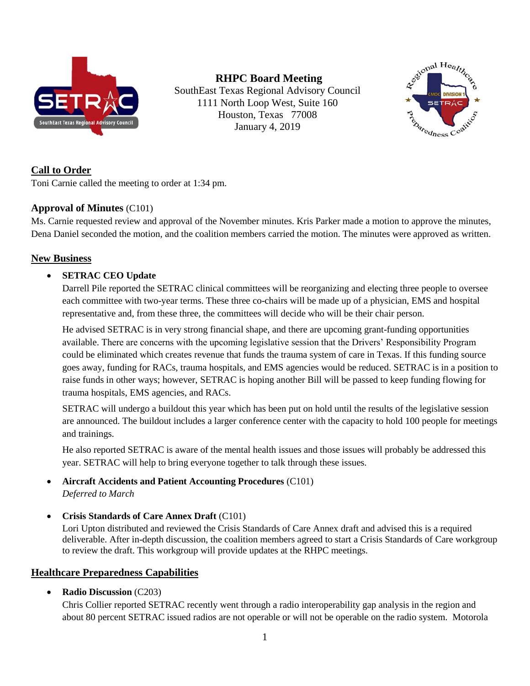

**RHPC Board Meeting** SouthEast Texas Regional Advisory Council 1111 North Loop West, Suite 160 Houston, Texas 77008 January 4, 2019



### **Call to Order**

Toni Carnie called the meeting to order at 1:34 pm.

### **Approval of Minutes** (C101)

Ms. Carnie requested review and approval of the November minutes. Kris Parker made a motion to approve the minutes, Dena Daniel seconded the motion, and the coalition members carried the motion. The minutes were approved as written.

### **New Business**

# • **SETRAC CEO Update**

Darrell Pile reported the SETRAC clinical committees will be reorganizing and electing three people to oversee each committee with two-year terms. These three co-chairs will be made up of a physician, EMS and hospital representative and, from these three, the committees will decide who will be their chair person.

He advised SETRAC is in very strong financial shape, and there are upcoming grant-funding opportunities available. There are concerns with the upcoming legislative session that the Drivers' Responsibility Program could be eliminated which creates revenue that funds the trauma system of care in Texas. If this funding source goes away, funding for RACs, trauma hospitals, and EMS agencies would be reduced. SETRAC is in a position to raise funds in other ways; however, SETRAC is hoping another Bill will be passed to keep funding flowing for trauma hospitals, EMS agencies, and RACs.

SETRAC will undergo a buildout this year which has been put on hold until the results of the legislative session are announced. The buildout includes a larger conference center with the capacity to hold 100 people for meetings and trainings.

He also reported SETRAC is aware of the mental health issues and those issues will probably be addressed this year. SETRAC will help to bring everyone together to talk through these issues.

# • **Aircraft Accidents and Patient Accounting Procedures** (C101) *Deferred to March*

• **Crisis Standards of Care Annex Draft** (C101)

Lori Upton distributed and reviewed the Crisis Standards of Care Annex draft and advised this is a required deliverable. After in-depth discussion, the coalition members agreed to start a Crisis Standards of Care workgroup to review the draft. This workgroup will provide updates at the RHPC meetings.

### **Healthcare Preparedness Capabilities**

### • **Radio Discussion** (C203)

Chris Collier reported SETRAC recently went through a radio interoperability gap analysis in the region and about 80 percent SETRAC issued radios are not operable or will not be operable on the radio system. Motorola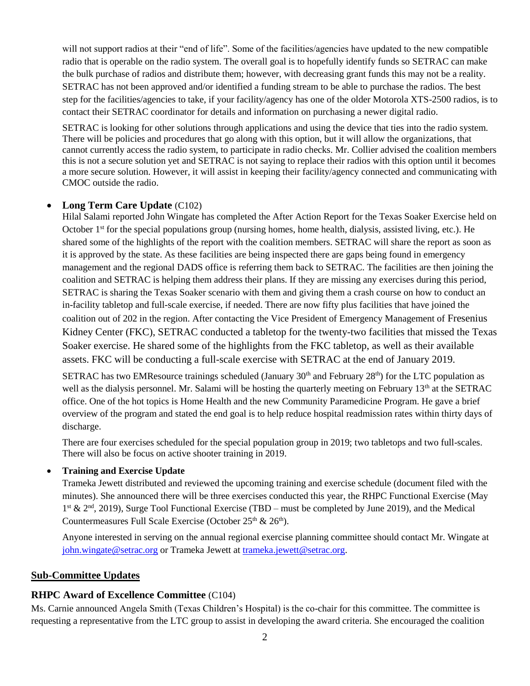will not support radios at their "end of life". Some of the facilities/agencies have updated to the new compatible radio that is operable on the radio system. The overall goal is to hopefully identify funds so SETRAC can make the bulk purchase of radios and distribute them; however, with decreasing grant funds this may not be a reality. SETRAC has not been approved and/or identified a funding stream to be able to purchase the radios. The best step for the facilities/agencies to take, if your facility/agency has one of the older Motorola XTS-2500 radios, is to contact their SETRAC coordinator for details and information on purchasing a newer digital radio.

SETRAC is looking for other solutions through applications and using the device that ties into the radio system. There will be policies and procedures that go along with this option, but it will allow the organizations, that cannot currently access the radio system, to participate in radio checks. Mr. Collier advised the coalition members this is not a secure solution yet and SETRAC is not saying to replace their radios with this option until it becomes a more secure solution. However, it will assist in keeping their facility/agency connected and communicating with CMOC outside the radio.

#### • **Long Term Care Update** (C102)

Hilal Salami reported John Wingate has completed the After Action Report for the Texas Soaker Exercise held on October  $1<sup>st</sup>$  for the special populations group (nursing homes, home health, dialysis, assisted living, etc.). He shared some of the highlights of the report with the coalition members. SETRAC will share the report as soon as it is approved by the state. As these facilities are being inspected there are gaps being found in emergency management and the regional DADS office is referring them back to SETRAC. The facilities are then joining the coalition and SETRAC is helping them address their plans. If they are missing any exercises during this period, SETRAC is sharing the Texas Soaker scenario with them and giving them a crash course on how to conduct an in-facility tabletop and full-scale exercise, if needed. There are now fifty plus facilities that have joined the coalition out of 202 in the region. After contacting the Vice President of Emergency Management of Fresenius Kidney Center (FKC), SETRAC conducted a tabletop for the twenty-two facilities that missed the Texas Soaker exercise. He shared some of the highlights from the FKC tabletop, as well as their available assets. FKC will be conducting a full-scale exercise with SETRAC at the end of January 2019.

SETRAC has two EMResource trainings scheduled (January  $30<sup>th</sup>$  and February  $28<sup>th</sup>$ ) for the LTC population as well as the dialysis personnel. Mr. Salami will be hosting the quarterly meeting on February 13<sup>th</sup> at the SETRAC office. One of the hot topics is Home Health and the new Community Paramedicine Program. He gave a brief overview of the program and stated the end goal is to help reduce hospital readmission rates within thirty days of discharge.

There are four exercises scheduled for the special population group in 2019; two tabletops and two full-scales. There will also be focus on active shooter training in 2019.

#### • **Training and Exercise Update**

Trameka Jewett distributed and reviewed the upcoming training and exercise schedule (document filed with the minutes). She announced there will be three exercises conducted this year, the RHPC Functional Exercise (May 1<sup>st</sup> & 2<sup>nd</sup>, 2019), Surge Tool Functional Exercise (TBD – must be completed by June 2019), and the Medical Countermeasures Full Scale Exercise (October  $25<sup>th</sup>$  &  $26<sup>th</sup>$ ).

Anyone interested in serving on the annual regional exercise planning committee should contact Mr. Wingate at [john.wingate@setrac.org](mailto:john.wingate@setrac.org) or Trameka Jewett at [trameka.jewett@setrac.org.](mailto:trameka.jewett@setrac.org)

#### **Sub-Committee Updates**

#### **RHPC Award of Excellence Committee** (C104)

Ms. Carnie announced Angela Smith (Texas Children's Hospital) is the co-chair for this committee. The committee is requesting a representative from the LTC group to assist in developing the award criteria. She encouraged the coalition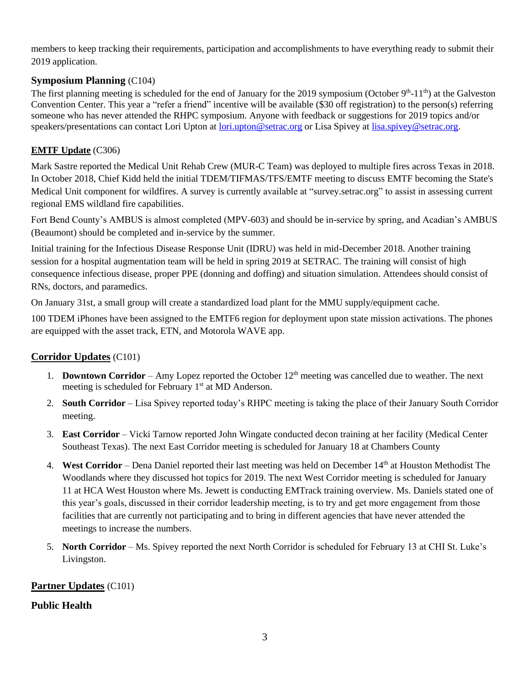members to keep tracking their requirements, participation and accomplishments to have everything ready to submit their 2019 application.

# **Symposium Planning** (C104)

The first planning meeting is scheduled for the end of January for the 2019 symposium (October  $9<sup>th</sup>$ -11<sup>th</sup>) at the Galveston Convention Center. This year a "refer a friend" incentive will be available (\$30 off registration) to the person(s) referring someone who has never attended the RHPC symposium. Anyone with feedback or suggestions for 2019 topics and/or speakers/presentations can contact Lori Upton at [lori.upton@setrac.org](mailto:lori.upton@setrac.org) or Lisa Spivey at [lisa.spivey@setrac.org.](mailto:lisa.spivey@setrac.org)

# **EMTF Update** (C306)

Mark Sastre reported the Medical Unit Rehab Crew (MUR-C Team) was deployed to multiple fires across Texas in 2018. In October 2018, Chief Kidd held the initial TDEM/TIFMAS/TFS/EMTF meeting to discuss EMTF becoming the State's Medical Unit component for wildfires. A survey is currently available at "survey.setrac.org" to assist in assessing current regional EMS wildland fire capabilities.

Fort Bend County's AMBUS is almost completed (MPV-603) and should be in-service by spring, and Acadian's AMBUS (Beaumont) should be completed and in-service by the summer.

Initial training for the Infectious Disease Response Unit (IDRU) was held in mid-December 2018. Another training session for a hospital augmentation team will be held in spring 2019 at SETRAC. The training will consist of high consequence infectious disease, proper PPE (donning and doffing) and situation simulation. Attendees should consist of RNs, doctors, and paramedics.

On January 31st, a small group will create a standardized load plant for the MMU supply/equipment cache.

100 TDEM iPhones have been assigned to the EMTF6 region for deployment upon state mission activations. The phones are equipped with the asset track, ETN, and Motorola WAVE app.

### **Corridor Updates** (C101)

- 1. **Downtown Corridor** Amy Lopez reported the October  $12<sup>th</sup>$  meeting was cancelled due to weather. The next meeting is scheduled for February 1<sup>st</sup> at MD Anderson.
- 2. **South Corridor** Lisa Spivey reported today's RHPC meeting is taking the place of their January South Corridor meeting.
- 3. **East Corridor** Vicki Tarnow reported John Wingate conducted decon training at her facility (Medical Center Southeast Texas). The next East Corridor meeting is scheduled for January 18 at Chambers County
- 4. **West Corridor** Dena Daniel reported their last meeting was held on December 14th at Houston Methodist The Woodlands where they discussed hot topics for 2019. The next West Corridor meeting is scheduled for January 11 at HCA West Houston where Ms. Jewett is conducting EMTrack training overview. Ms. Daniels stated one of this year's goals, discussed in their corridor leadership meeting, is to try and get more engagement from those facilities that are currently not participating and to bring in different agencies that have never attended the meetings to increase the numbers.
- 5. **North Corridor** Ms. Spivey reported the next North Corridor is scheduled for February 13 at CHI St. Luke's Livingston.

# **Partner Updates** (C101)

# **Public Health**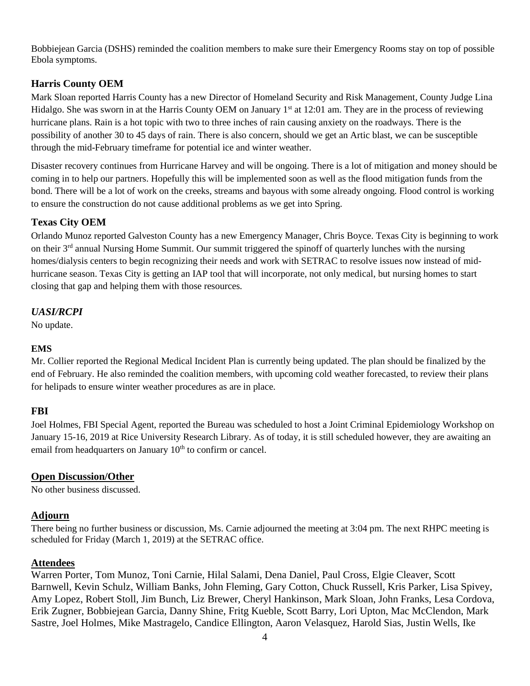Bobbiejean Garcia (DSHS) reminded the coalition members to make sure their Emergency Rooms stay on top of possible Ebola symptoms.

# **Harris County OEM**

Mark Sloan reported Harris County has a new Director of Homeland Security and Risk Management, County Judge Lina Hidalgo. She was sworn in at the Harris County OEM on January 1<sup>st</sup> at 12:01 am. They are in the process of reviewing hurricane plans. Rain is a hot topic with two to three inches of rain causing anxiety on the roadways. There is the possibility of another 30 to 45 days of rain. There is also concern, should we get an Artic blast, we can be susceptible through the mid-February timeframe for potential ice and winter weather.

Disaster recovery continues from Hurricane Harvey and will be ongoing. There is a lot of mitigation and money should be coming in to help our partners. Hopefully this will be implemented soon as well as the flood mitigation funds from the bond. There will be a lot of work on the creeks, streams and bayous with some already ongoing. Flood control is working to ensure the construction do not cause additional problems as we get into Spring.

# **Texas City OEM**

Orlando Munoz reported Galveston County has a new Emergency Manager, Chris Boyce. Texas City is beginning to work on their 3<sup>rd</sup> annual Nursing Home Summit. Our summit triggered the spinoff of quarterly lunches with the nursing homes/dialysis centers to begin recognizing their needs and work with SETRAC to resolve issues now instead of midhurricane season. Texas City is getting an IAP tool that will incorporate, not only medical, but nursing homes to start closing that gap and helping them with those resources.

### *UASI/RCPI*

No update.

#### **EMS**

Mr. Collier reported the Regional Medical Incident Plan is currently being updated. The plan should be finalized by the end of February. He also reminded the coalition members, with upcoming cold weather forecasted, to review their plans for helipads to ensure winter weather procedures as are in place.

### **FBI**

Joel Holmes, FBI Special Agent, reported the Bureau was scheduled to host a Joint Criminal Epidemiology Workshop on January 15-16, 2019 at Rice University Research Library. As of today, it is still scheduled however, they are awaiting an email from headquarters on January  $10<sup>th</sup>$  to confirm or cancel.

### **Open Discussion/Other**

No other business discussed.

### **Adjourn**

There being no further business or discussion, Ms. Carnie adjourned the meeting at 3:04 pm. The next RHPC meeting is scheduled for Friday (March 1, 2019) at the SETRAC office.

### **Attendees**

Warren Porter, Tom Munoz, Toni Carnie, Hilal Salami, Dena Daniel, Paul Cross, Elgie Cleaver, Scott Barnwell, Kevin Schulz, William Banks, John Fleming, Gary Cotton, Chuck Russell, Kris Parker, Lisa Spivey, Amy Lopez, Robert Stoll, Jim Bunch, Liz Brewer, Cheryl Hankinson, Mark Sloan, John Franks, Lesa Cordova, Erik Zugner, Bobbiejean Garcia, Danny Shine, Fritg Kueble, Scott Barry, Lori Upton, Mac McClendon, Mark Sastre, Joel Holmes, Mike Mastragelo, Candice Ellington, Aaron Velasquez, Harold Sias, Justin Wells, Ike